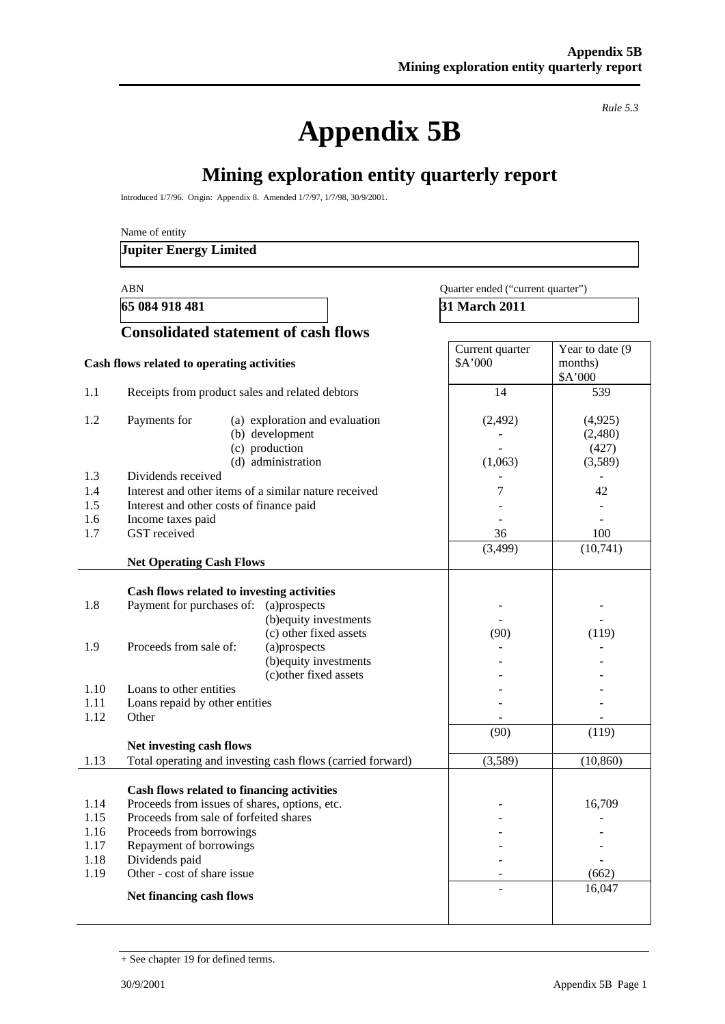**Appendix 5B** 

*Rule 5.3* 

# **Mining exploration entity quarterly report**

Introduced 1/7/96. Origin: Appendix 8. Amended 1/7/97, 1/7/98, 30/9/2001.

Name of entity

### **Jupiter Energy Limited**

#### ABN Quarter ended ("current quarter")

**65 084 918 481** 31 March 2011

|                                              | <b>Consolidated statement of cash flows</b>                                                                                                                                                                                                                                                                                                                                                            |                            |                                         |
|----------------------------------------------|--------------------------------------------------------------------------------------------------------------------------------------------------------------------------------------------------------------------------------------------------------------------------------------------------------------------------------------------------------------------------------------------------------|----------------------------|-----------------------------------------|
|                                              | Cash flows related to operating activities                                                                                                                                                                                                                                                                                                                                                             | Current quarter<br>\$A'000 | Year to date (9<br>months)<br>\$A'000   |
| 1.1                                          | Receipts from product sales and related debtors                                                                                                                                                                                                                                                                                                                                                        | 14                         | 539                                     |
| 1.2                                          | Payments for<br>(a) exploration and evaluation<br>(b) development<br>(c) production<br>(d) administration                                                                                                                                                                                                                                                                                              | (2, 492)<br>(1,063)        | (4, 925)<br>(2,480)<br>(427)<br>(3,589) |
| 1.3                                          | Dividends received                                                                                                                                                                                                                                                                                                                                                                                     |                            |                                         |
| 1.4<br>1.5<br>1.6<br>1.7                     | Interest and other items of a similar nature received<br>Interest and other costs of finance paid<br>Income taxes paid<br>GST received                                                                                                                                                                                                                                                                 | 7<br>36<br>(3,499)         | 42<br>100<br>(10,741)                   |
|                                              | <b>Net Operating Cash Flows</b>                                                                                                                                                                                                                                                                                                                                                                        |                            |                                         |
| 1.8<br>1.9<br>1.10<br>1.11<br>1.12<br>1.13   | Cash flows related to investing activities<br>Payment for purchases of: (a)prospects<br>(b) equity investments<br>(c) other fixed assets<br>Proceeds from sale of:<br>(a)prospects<br>(b) equity investments<br>(c) other fixed assets<br>Loans to other entities<br>Loans repaid by other entities<br>Other<br>Net investing cash flows<br>Total operating and investing cash flows (carried forward) | (90)<br>(90)<br>(3,589)    | (119)<br>(119)<br>(10, 860)             |
| 1.14<br>1.15<br>1.16<br>1.17<br>1.18<br>1.19 | Cash flows related to financing activities<br>Proceeds from issues of shares, options, etc.<br>Proceeds from sale of forfeited shares<br>Proceeds from borrowings<br>Repayment of borrowings<br>Dividends paid<br>Other - cost of share issue                                                                                                                                                          |                            | 16,709<br>(662)<br>16,047               |
|                                              | Net financing cash flows                                                                                                                                                                                                                                                                                                                                                                               |                            |                                         |

<sup>+</sup> See chapter 19 for defined terms.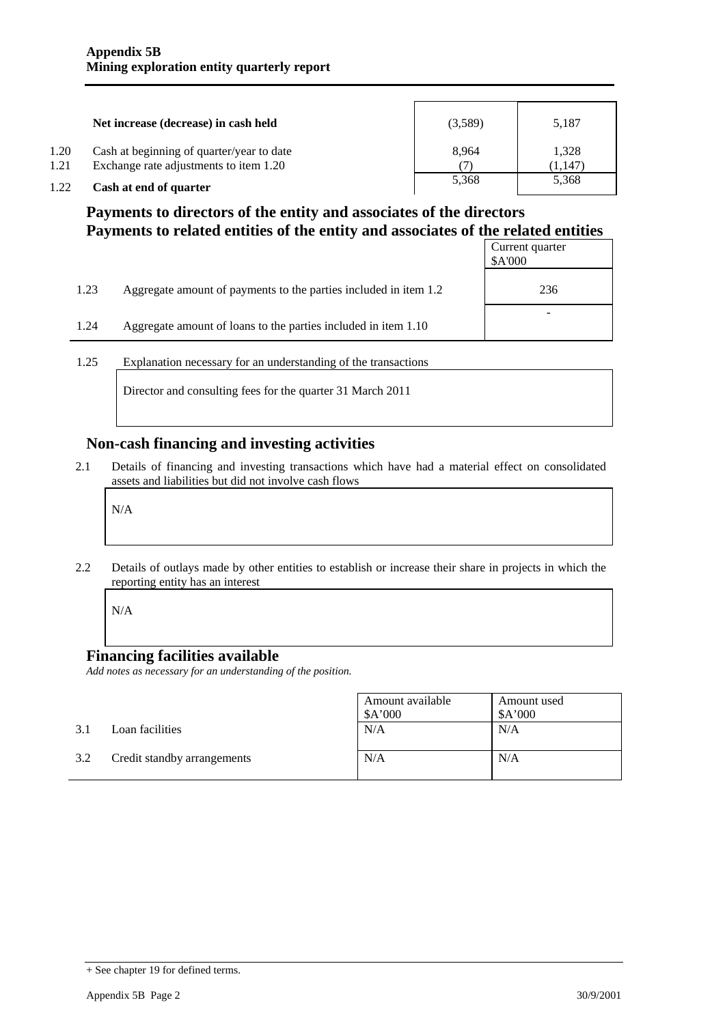|      | Net increase (decrease) in cash held      | (3,589) | 5,187   |
|------|-------------------------------------------|---------|---------|
| 1.20 | Cash at beginning of quarter/year to date | 8.964   | 1,328   |
| 1.21 | Exchange rate adjustments to item 1.20    |         | (1,147) |
| 1.22 | Cash at end of quarter                    | 5,368   | 5,368   |

### **Payments to directors of the entity and associates of the directors Payments to related entities of the entity and associates of the related entities**

|      |                                                                  | Current quarter<br>\$A'000 |
|------|------------------------------------------------------------------|----------------------------|
| 1.23 | Aggregate amount of payments to the parties included in item 1.2 | 236                        |
| 1.24 | Aggregate amount of loans to the parties included in item 1.10   |                            |

1.25 Explanation necessary for an understanding of the transactions

Director and consulting fees for the quarter 31 March 2011

### **Non-cash financing and investing activities**

2.1 Details of financing and investing transactions which have had a material effect on consolidated assets and liabilities but did not involve cash flows

N/A

2.2 Details of outlays made by other entities to establish or increase their share in projects in which the reporting entity has an interest

N/A

### **Financing facilities available**

*Add notes as necessary for an understanding of the position.* 

|     |                             | Amount available<br>\$A'000 | Amount used<br>\$A'000 |
|-----|-----------------------------|-----------------------------|------------------------|
| 3.1 | Loan facilities             | N/A                         | N/A                    |
| 3.2 | Credit standby arrangements | N/A                         | N/A                    |

<sup>+</sup> See chapter 19 for defined terms.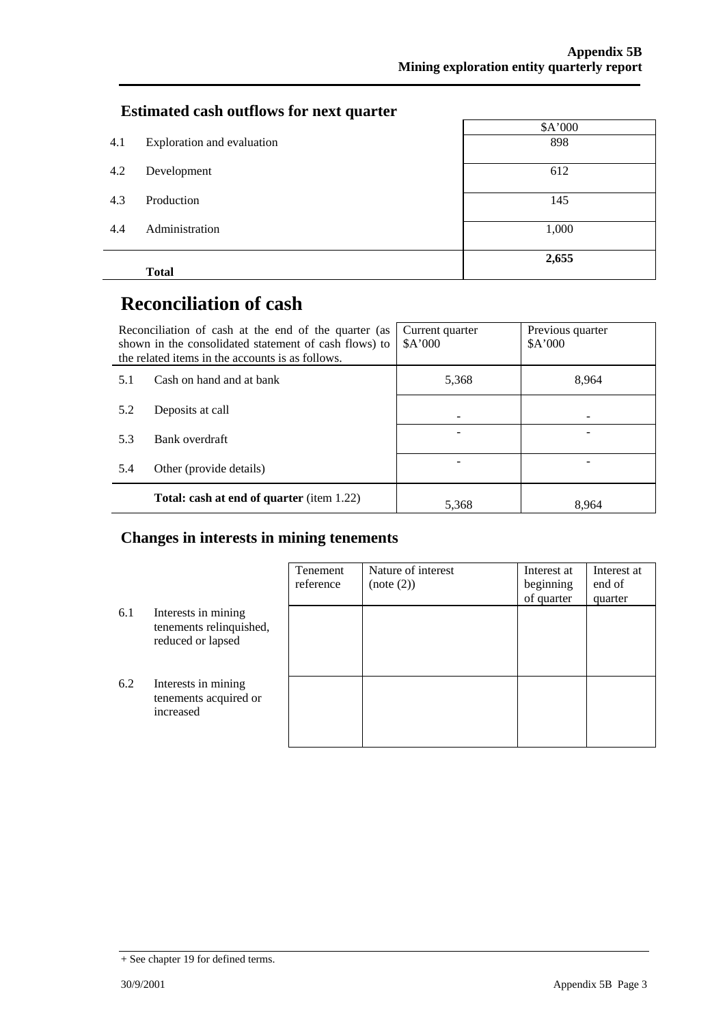### **Estimated cash outflows for next quarter**

|     |                            | \$A'000 |
|-----|----------------------------|---------|
| 4.1 | Exploration and evaluation | 898     |
| 4.2 | Development                | 612     |
| 4.3 | Production                 | 145     |
| 4.4 | Administration             | 1,000   |
|     | <b>Total</b>               | 2,655   |

# **Reconciliation of cash**

|                                 | Reconciliation of cash at the end of the quarter (as<br>shown in the consolidated statement of cash flows) to<br>the related items in the accounts is as follows. | Current quarter<br>A'000 | Previous quarter<br>\$A'000 |
|---------------------------------|-------------------------------------------------------------------------------------------------------------------------------------------------------------------|--------------------------|-----------------------------|
| Cash on hand and at bank<br>5.1 |                                                                                                                                                                   | 5,368                    | 8.964                       |
| 5.2                             | Deposits at call                                                                                                                                                  |                          |                             |
| 5.3                             | Bank overdraft                                                                                                                                                    |                          |                             |
| 5.4                             | Other (provide details)                                                                                                                                           |                          |                             |
|                                 | <b>Total: cash at end of quarter</b> (item 1.22)                                                                                                                  | 5,368                    | 8.964                       |

### **Changes in interests in mining tenements**

|     |                                                                     | Tenement<br>reference | Nature of interest<br>(note (2)) | Interest at<br>beginning<br>of quarter | Interest at<br>end of<br>quarter |
|-----|---------------------------------------------------------------------|-----------------------|----------------------------------|----------------------------------------|----------------------------------|
| 6.1 | Interests in mining<br>tenements relinquished,<br>reduced or lapsed |                       |                                  |                                        |                                  |
| 6.2 | Interests in mining<br>tenements acquired or<br>increased           |                       |                                  |                                        |                                  |

<sup>+</sup> See chapter 19 for defined terms.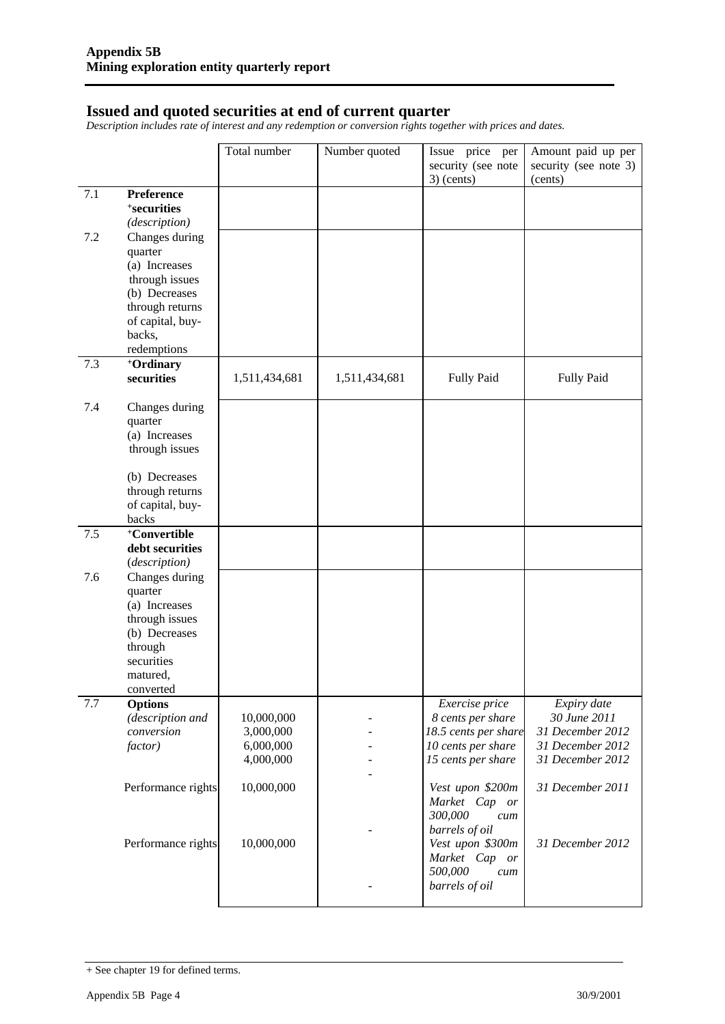### **Issued and quoted securities at end of current quarter**

*Description includes rate of interest and any redemption or conversion rights together with prices and dates.* 

|     |                                 | Total number  | Number quoted | Issue price per<br>security (see note | Amount paid up per<br>security (see note 3) |
|-----|---------------------------------|---------------|---------------|---------------------------------------|---------------------------------------------|
|     |                                 |               |               | $3)$ (cents)                          | (cents)                                     |
| 7.1 | Preference                      |               |               |                                       |                                             |
|     | <sup>+</sup> securities         |               |               |                                       |                                             |
| 7.2 | (description)<br>Changes during |               |               |                                       |                                             |
|     | quarter                         |               |               |                                       |                                             |
|     | (a) Increases                   |               |               |                                       |                                             |
|     | through issues                  |               |               |                                       |                                             |
|     | (b) Decreases                   |               |               |                                       |                                             |
|     | through returns                 |               |               |                                       |                                             |
|     | of capital, buy-                |               |               |                                       |                                             |
|     | backs,                          |               |               |                                       |                                             |
|     | redemptions                     |               |               |                                       |                                             |
| 7.3 | +Ordinary                       |               |               |                                       |                                             |
|     | securities                      | 1,511,434,681 | 1,511,434,681 | <b>Fully Paid</b>                     | <b>Fully Paid</b>                           |
|     |                                 |               |               |                                       |                                             |
| 7.4 | Changes during                  |               |               |                                       |                                             |
|     | quarter                         |               |               |                                       |                                             |
|     | (a) Increases<br>through issues |               |               |                                       |                                             |
|     |                                 |               |               |                                       |                                             |
|     | (b) Decreases                   |               |               |                                       |                                             |
|     | through returns                 |               |               |                                       |                                             |
|     | of capital, buy-                |               |               |                                       |                                             |
|     | backs                           |               |               |                                       |                                             |
| 7.5 | +Convertible                    |               |               |                                       |                                             |
|     | debt securities                 |               |               |                                       |                                             |
|     | (description)                   |               |               |                                       |                                             |
| 7.6 | Changes during                  |               |               |                                       |                                             |
|     | quarter                         |               |               |                                       |                                             |
|     | (a) Increases                   |               |               |                                       |                                             |
|     | through issues                  |               |               |                                       |                                             |
|     | (b) Decreases<br>through        |               |               |                                       |                                             |
|     | securities                      |               |               |                                       |                                             |
|     | matured,                        |               |               |                                       |                                             |
|     | converted                       |               |               |                                       |                                             |
| 7.7 | <b>Options</b>                  |               |               | Exercise price                        | Expiry date                                 |
|     | (description and                | 10,000,000    |               | 8 cents per share                     | 30 June 2011                                |
|     | conversion                      | 3,000,000     |               | 18.5 cents per share                  | 31 December 2012                            |
|     | factor)                         | 6,000,000     |               | 10 cents per share                    | 31 December 2012                            |
|     |                                 | 4,000,000     |               | 15 cents per share                    | 31 December 2012                            |
|     |                                 |               |               |                                       |                                             |
|     | Performance rights              | 10,000,000    |               | Vest upon \$200m                      | 31 December 2011                            |
|     |                                 |               |               | Market Cap or                         |                                             |
|     |                                 |               |               | 300,000<br>cum                        |                                             |
|     | Performance rights              | 10,000,000    |               | barrels of oil<br>Vest upon \$300m    | 31 December 2012                            |
|     |                                 |               |               | Market Cap or                         |                                             |
|     |                                 |               |               | 500,000<br>cum                        |                                             |
|     |                                 |               |               | barrels of oil                        |                                             |
|     |                                 |               |               |                                       |                                             |

<sup>+</sup> See chapter 19 for defined terms.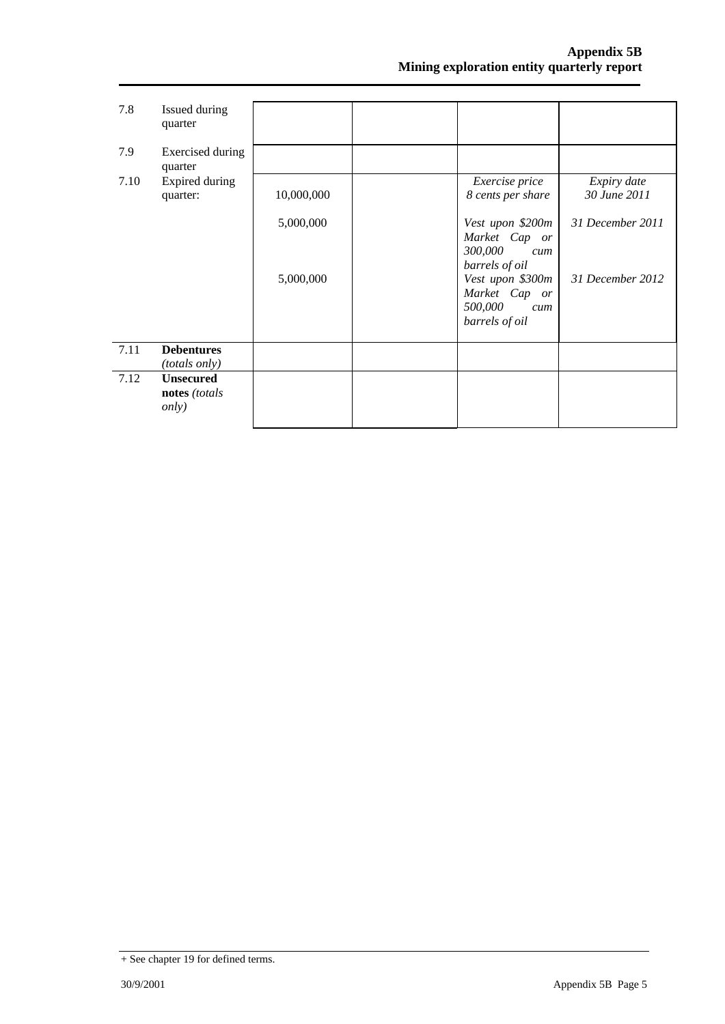| 7.8  | Issued during<br>quarter                           |            |                                                                       |                             |
|------|----------------------------------------------------|------------|-----------------------------------------------------------------------|-----------------------------|
| 7.9  | Exercised during<br>quarter                        |            |                                                                       |                             |
| 7.10 | Expired during<br>quarter:                         | 10,000,000 | Exercise price<br>8 cents per share                                   | Expiry date<br>30 June 2011 |
|      |                                                    | 5,000,000  | Vest upon \$200m<br>Market Cap or<br>300,000<br>cum<br>barrels of oil | 31 December 2011            |
|      |                                                    | 5,000,000  | Vest upon \$300m<br>Market Cap or<br>500,000<br>cum<br>barrels of oil | 31 December 2012            |
| 7.11 | <b>Debentures</b><br><i>(totals only)</i>          |            |                                                                       |                             |
| 7.12 | <b>Unsecured</b><br>notes (totals<br><i>only</i> ) |            |                                                                       |                             |

<sup>+</sup> See chapter 19 for defined terms.